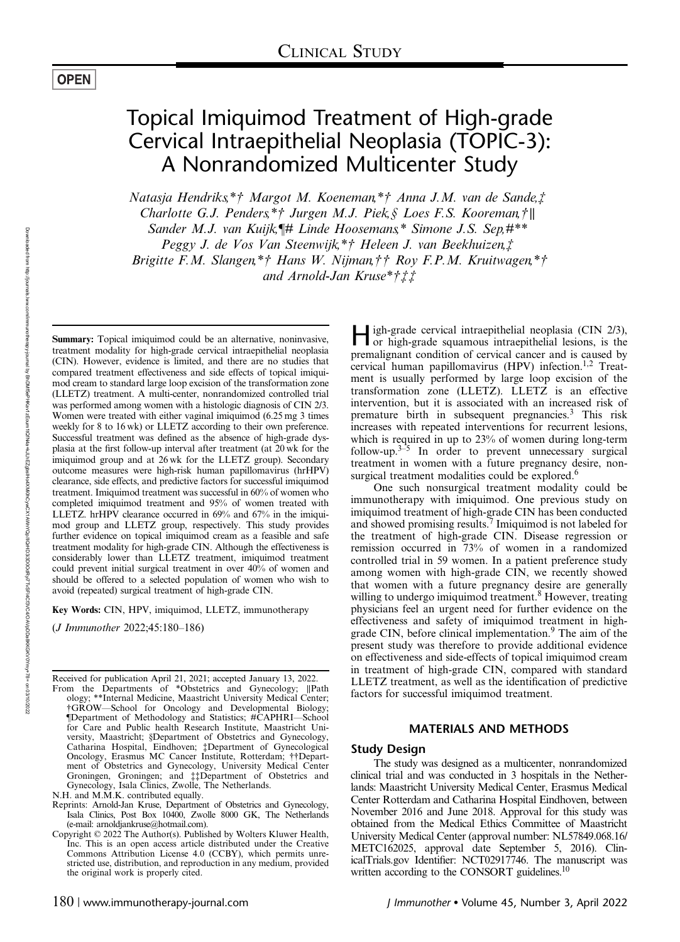### **OPEN**

# Topical Imiquimod Treatment of High-grade Cervical Intraepithelial Neoplasia (TOPIC-3): A Nonrandomized Multicenter Study

Natasja Hendriks,\*† Margot M. Koeneman,\*† Anna J.M. van de Sande,‡ Charlotte G.J. Penders,\*† Jurgen M.J. Piek,§ Loes F.S. Kooreman,†∥ Sander M.J. van Kuijk,¶# Linde Hoosemans,\* Simone J.S. Sep,#\*\* Peggy J. de Vos Van Steenwijk,\*† Heleen J. van Beekhuizen,‡ Brigitte F.M. Slangen,\*† Hans W. Nijman,†† Roy F.P.M. Kruitwagen,\*† and Arnold-Jan Kruse\*†‡‡

Summary: Topical imiquimod could be an alternative, noninvasive, treatment modality for high-grade cervical intraepithelial neoplasia (CIN). However, evidence is limited, and there are no studies that compared treatment effectiveness and side effects of topical imiquimod cream to standard large loop excision of the transformation zone (LLETZ) treatment. A multi-center, nonrandomized controlled trial was performed among women with a histologic diagnosis of CIN 2/3. Women were treated with either vaginal imiquimod (6.25 mg 3 times weekly for 8 to 16 wk) or LLETZ according to their own preference. Successful treatment was defined as the absence of high-grade dysplasia at the first follow-up interval after treatment (at 20 wk for the imiquimod group and at 26 wk for the LLETZ group). Secondary outcome measures were high-risk human papillomavirus (hrHPV) clearance, side effects, and predictive factors for successful imiquimod treatment. Imiquimod treatment was successful in 60% of women who completed imiquimod treatment and 95% of women treated with LLETZ. hrHPV clearance occurred in 69% and 67% in the imiquimod group and LLETZ group, respectively. This study provides further evidence on topical imiquimod cream as a feasible and safe treatment modality for high-grade CIN. Although the effectiveness is considerably lower than LLETZ treatment, imiquimod treatment could prevent initial surgical treatment in over 40% of women and should be offered to a selected population of women who wish to avoid (repeated) surgical treatment of high-grade CIN.

Key Words: CIN, HPV, imiquimod, LLETZ, immunotherapy

(J Immunother 2022;45:180–186)

Received for publication April 21, 2021; accepted January 13, 2022.

High-grade cervical intraepithelial neoplasia (CIN 2/3), or high-grade squamous intraepithelial lesions, is the premalignant condition of cervical cancer and is caused by cervical human papillomavirus (HPV) infection.<sup>1,2</sup> Treatment is usually performed by large loop excision of the transformation zone (LLETZ). LLETZ is an effective intervention, but it is associated with an increased risk of premature birth in subsequent pregnancies.<sup>3</sup> This risk increases with repeated interventions for recurrent lesions, which is required in up to 23% of women during long-term follow-up. $3-5$  In order to prevent unnecessary surgical treatment in women with a future pregnancy desire, nonsurgical treatment modalities could be explored.<sup>6</sup>

One such nonsurgical treatment modality could be immunotherapy with imiquimod. One previous study on imiquimod treatment of high-grade CIN has been conducted and showed promising results.<sup>7</sup> Imiquimod is not labeled for the treatment of high-grade CIN. Disease regression or remission occurred in 73% of women in a randomized controlled trial in 59 women. In a patient preference study among women with high-grade CIN, we recently showed that women with a future pregnancy desire are generally willing to undergo imiquimod treatment.<sup>8</sup> However, treating physicians feel an urgent need for further evidence on the effectiveness and safety of imiquimod treatment in highgrade CIN, before clinical implementation.<sup>9</sup> The aim of the present study was therefore to provide additional evidence on effectiveness and side-effects of topical imiquimod cream in treatment of high-grade CIN, compared with standard LLETZ treatment, as well as the identification of predictive factors for successful imiquimod treatment.

#### MATERIALS AND METHODS

#### Study Design

The study was designed as a multicenter, nonrandomized clinical trial and was conducted in 3 hospitals in the Netherlands: Maastricht University Medical Center, Erasmus Medical Center Rotterdam and Catharina Hospital Eindhoven, between November 2016 and June 2018. Approval for this study was obtained from the Medical Ethics Committee of Maastricht University Medical Center (approval number: NL57849.068.16/ METC162025, approval date September 5, 2016). ClinicalTrials.gov Identifier: NCT02917746. The manuscript was written according to the CONSORT guidelines.<sup>10</sup>

From the Departments of \*Obstetrics and Gynecology; ∥Path ology; \*\*Internal Medicine, Maastricht University Medical Center; †GROW—School for Oncology and Developmental Biology; ¶Department of Methodology and Statistics; #CAPHRI—School for Care and Public health Research Institute, Maastricht University, Maastricht; §Department of Obstetrics and Gynecology, Catharina Hospital, Eindhoven; ‡Department of Gynecological Oncology, Erasmus MC Cancer Institute, Rotterdam; ††Department of Obstetrics and Gynecology, University Medical Center Groningen, Groningen; and ‡‡Department of Obstetrics and Gynecology, Isala Clinics, Zwolle, The Netherlands.

N.H. and M.M.K. contributed equally.

Reprints: Arnold-Jan Kruse, Department of Obstetrics and Gynecology, Isala Clinics, Post Box 10400, Zwolle 8000 GK, The Netherlands (e-mail: [arnoldjankruse@hotmail.com\)](mailto:arnoldjankruse@hotmail.com).

Copyright © 2022 The Author(s). Published by Wolters Kluwer Health, Inc. This is an open access article distributed under the [Creative](http://creativecommons.org/licenses/by/4.0/) [Commons Attribution License 4.0](http://creativecommons.org/licenses/by/4.0/) (CCBY), which permits unrestricted use, distribution, and reproduction in any medium, provided the original work is properly cited.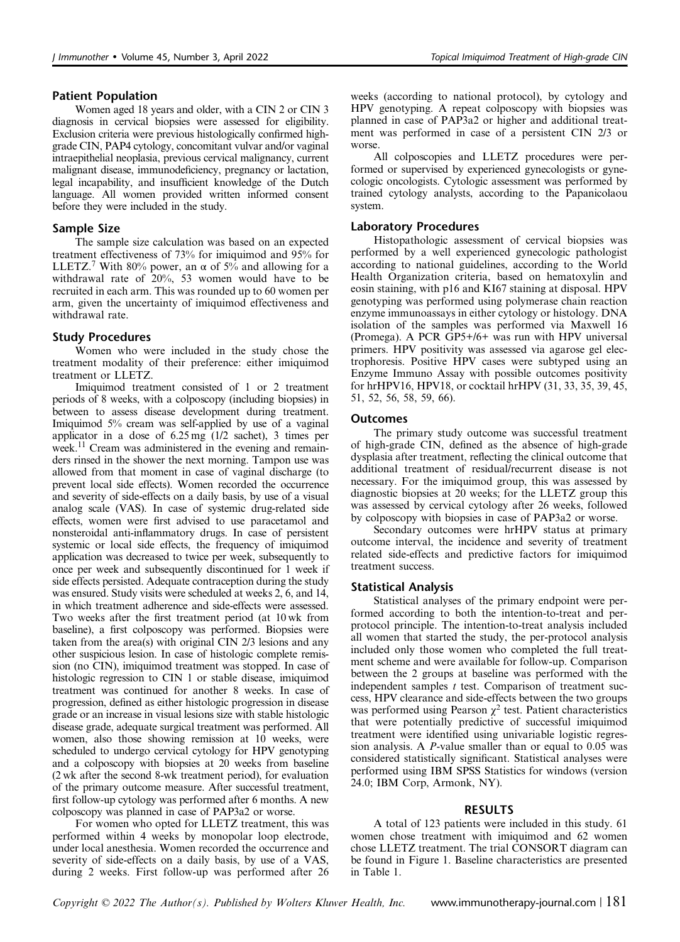#### Patient Population

Women aged 18 years and older, with a CIN 2 or CIN 3 diagnosis in cervical biopsies were assessed for eligibility. Exclusion criteria were previous histologically confirmed highgrade CIN, PAP4 cytology, concomitant vulvar and/or vaginal intraepithelial neoplasia, previous cervical malignancy, current malignant disease, immunodeficiency, pregnancy or lactation, legal incapability, and insufficient knowledge of the Dutch language. All women provided written informed consent before they were included in the study.

#### Sample Size

The sample size calculation was based on an expected treatment effectiveness of 73% for imiquimod and 95% for LLETZ.<sup>7</sup> With 80% power, an  $\alpha$  of 5% and allowing for a withdrawal rate of 20%, 53 women would have to be recruited in each arm. This was rounded up to 60 women per arm, given the uncertainty of imiquimod effectiveness and withdrawal rate.

#### Study Procedures

Women who were included in the study chose the treatment modality of their preference: either imiquimod treatment or LLETZ.

Imiquimod treatment consisted of 1 or 2 treatment periods of 8 weeks, with a colposcopy (including biopsies) in between to assess disease development during treatment. Imiquimod 5% cream was self-applied by use of a vaginal applicator in a dose of 6.25 mg (1/2 sachet), 3 times per week.<sup>11</sup> Cream was administered in the evening and remainders rinsed in the shower the next morning. Tampon use was allowed from that moment in case of vaginal discharge (to prevent local side effects). Women recorded the occurrence and severity of side-effects on a daily basis, by use of a visual analog scale (VAS). In case of systemic drug-related side effects, women were first advised to use paracetamol and nonsteroidal anti-inflammatory drugs. In case of persistent systemic or local side effects, the frequency of imiquimod application was decreased to twice per week, subsequently to once per week and subsequently discontinued for 1 week if side effects persisted. Adequate contraception during the study was ensured. Study visits were scheduled at weeks 2, 6, and 14, in which treatment adherence and side-effects were assessed. Two weeks after the first treatment period (at 10 wk from baseline), a first colposcopy was performed. Biopsies were taken from the area(s) with original CIN 2/3 lesions and any other suspicious lesion. In case of histologic complete remission (no CIN), imiquimod treatment was stopped. In case of histologic regression to CIN 1 or stable disease, imiquimod treatment was continued for another 8 weeks. In case of progression, defined as either histologic progression in disease grade or an increase in visual lesions size with stable histologic disease grade, adequate surgical treatment was performed. All women, also those showing remission at 10 weeks, were scheduled to undergo cervical cytology for HPV genotyping and a colposcopy with biopsies at 20 weeks from baseline (2 wk after the second 8-wk treatment period), for evaluation of the primary outcome measure. After successful treatment, first follow-up cytology was performed after 6 months. A new colposcopy was planned in case of PAP3a2 or worse.

For women who opted for LLETZ treatment, this was performed within 4 weeks by monopolar loop electrode, under local anesthesia. Women recorded the occurrence and severity of side-effects on a daily basis, by use of a VAS, during 2 weeks. First follow-up was performed after 26 weeks (according to national protocol), by cytology and HPV genotyping. A repeat colposcopy with biopsies was planned in case of PAP3a2 or higher and additional treatment was performed in case of a persistent CIN 2/3 or worse.

All colposcopies and LLETZ procedures were performed or supervised by experienced gynecologists or gynecologic oncologists. Cytologic assessment was performed by trained cytology analysts, according to the Papanicolaou system.

#### Laboratory Procedures

Histopathologic assessment of cervical biopsies was performed by a well experienced gynecologic pathologist according to national guidelines, according to the World Health Organization criteria, based on hematoxylin and eosin staining, with p16 and KI67 staining at disposal. HPV genotyping was performed using polymerase chain reaction enzyme immunoassays in either cytology or histology. DNA isolation of the samples was performed via Maxwell 16 (Promega). A PCR GP5+/6+ was run with HPV universal primers. HPV positivity was assessed via agarose gel electrophoresis. Positive HPV cases were subtyped using an Enzyme Immuno Assay with possible outcomes positivity for hrHPV16, HPV18, or cocktail hrHPV (31, 33, 35, 39, 45, 51, 52, 56, 58, 59, 66).

#### Outcomes

The primary study outcome was successful treatment of high-grade CIN, defined as the absence of high-grade dysplasia after treatment, reflecting the clinical outcome that additional treatment of residual/recurrent disease is not necessary. For the imiquimod group, this was assessed by diagnostic biopsies at 20 weeks; for the LLETZ group this was assessed by cervical cytology after 26 weeks, followed by colposcopy with biopsies in case of PAP3a2 or worse.

Secondary outcomes were hrHPV status at primary outcome interval, the incidence and severity of treatment related side-effects and predictive factors for imiquimod treatment success.

#### Statistical Analysis

Statistical analyses of the primary endpoint were performed according to both the intention-to-treat and perprotocol principle. The intention-to-treat analysis included all women that started the study, the per-protocol analysis included only those women who completed the full treatment scheme and were available for follow-up. Comparison between the 2 groups at baseline was performed with the independent samples  $t$  test. Comparison of treatment success, HPV clearance and side-effects between the two groups was performed using Pearson  $\chi^2$  test. Patient characteristics that were potentially predictive of successful imiquimod treatment were identified using univariable logistic regression analysis. A P-value smaller than or equal to 0.05 was considered statistically significant. Statistical analyses were performed using IBM SPSS Statistics for windows (version 24.0; IBM Corp, Armonk, NY).

#### RESULTS

A total of 123 patients were included in this study. 61 women chose treatment with imiquimod and 62 women chose LLETZ treatment. The trial CONSORT diagram can be found in Figure 1. Baseline characteristics are presented in Table 1.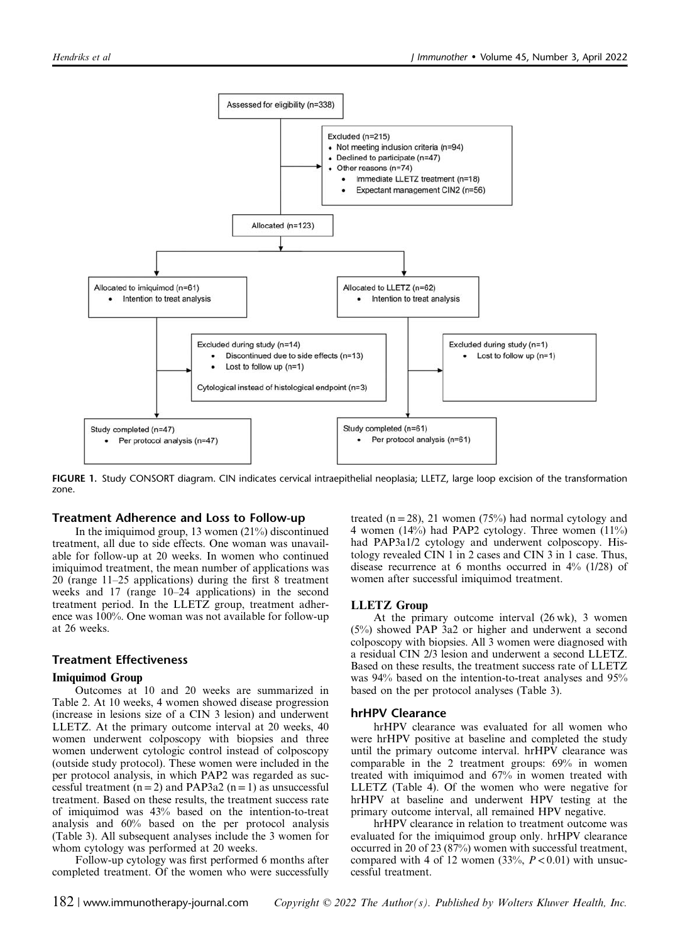

FIGURE 1. Study CONSORT diagram. CIN indicates cervical intraepithelial neoplasia; LLETZ, large loop excision of the transformation zone.

#### Treatment Adherence and Loss to Follow-up

In the imiquimod group, 13 women (21%) discontinued treatment, all due to side effects. One woman was unavailable for follow-up at 20 weeks. In women who continued imiquimod treatment, the mean number of applications was 20 (range 11–25 applications) during the first 8 treatment weeks and 17 (range 10–24 applications) in the second treatment period. In the LLETZ group, treatment adherence was 100%. One woman was not available for follow-up at 26 weeks.

#### Treatment Effectiveness

#### Imiquimod Group

Outcomes at 10 and 20 weeks are summarized in Table 2. At 10 weeks, 4 women showed disease progression (increase in lesions size of a CIN 3 lesion) and underwent LLETZ. At the primary outcome interval at 20 weeks, 40 women underwent colposcopy with biopsies and three women underwent cytologic control instead of colposcopy (outside study protocol). These women were included in the per protocol analysis, in which PAP2 was regarded as successful treatment  $(n=2)$  and PAP3a2  $(n=1)$  as unsuccessful treatment. Based on these results, the treatment success rate of imiquimod was 43% based on the intention-to-treat analysis and 60% based on the per protocol analysis (Table 3). All subsequent analyses include the 3 women for whom cytology was performed at 20 weeks.

Follow-up cytology was first performed 6 months after completed treatment. Of the women who were successfully

treated  $(n = 28)$ , 21 women (75%) had normal cytology and 4 women (14%) had PAP2 cytology. Three women (11%) had PAP3a1/2 cytology and underwent colposcopy. Histology revealed CIN 1 in 2 cases and CIN 3 in 1 case. Thus, disease recurrence at 6 months occurred in 4% (1/28) of women after successful imiquimod treatment.

#### LLETZ Group

At the primary outcome interval (26 wk), 3 women (5%) showed PAP 3a2 or higher and underwent a second colposcopy with biopsies. All 3 women were diagnosed with a residual CIN 2/3 lesion and underwent a second LLETZ. Based on these results, the treatment success rate of LLETZ was 94% based on the intention-to-treat analyses and 95% based on the per protocol analyses (Table 3).

#### hrHPV Clearance

hrHPV clearance was evaluated for all women who were hrHPV positive at baseline and completed the study until the primary outcome interval. hrHPV clearance was comparable in the 2 treatment groups: 69% in women treated with imiquimod and 67% in women treated with LLETZ (Table 4). Of the women who were negative for hrHPV at baseline and underwent HPV testing at the primary outcome interval, all remained HPV negative.

hrHPV clearance in relation to treatment outcome was evaluated for the imiquimod group only. hrHPV clearance occurred in 20 of 23 (87%) women with successful treatment, compared with 4 of 12 women  $(33\%, P < 0.01)$  with unsuccessful treatment.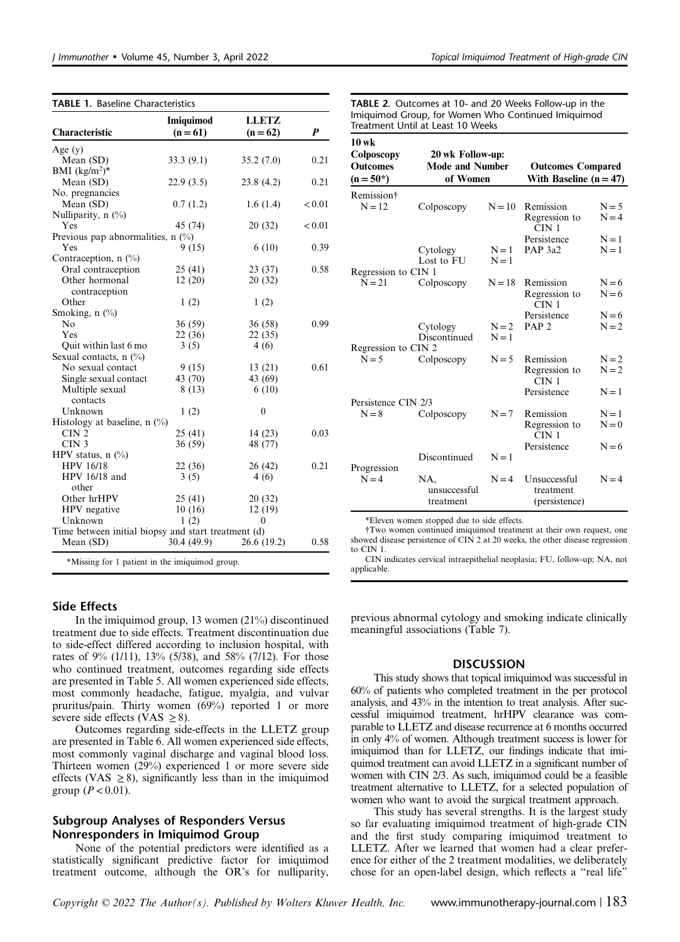|  |  | Topical Imiquimod Treatment of High-grade CIN |  |  |
|--|--|-----------------------------------------------|--|--|
|--|--|-----------------------------------------------|--|--|

|                                                     | <b>Imiquimod</b> | <b>LLETZ</b> |        |
|-----------------------------------------------------|------------------|--------------|--------|
| Characteristic                                      | $(n = 61)$       | $(n = 62)$   | P      |
| Age $(y)$                                           |                  |              |        |
| Mean (SD)                                           | 33.3(9.1)        | 35.2(7.0)    | 0.21   |
| BMI $(kg/m^2)^*$                                    |                  |              |        |
| Mean (SD)                                           | 22.9(3.5)        | 23.8(4.2)    | 0.21   |
| No. pregnancies                                     |                  |              |        |
| Mean (SD)                                           | 0.7(1.2)         | 1.6(1.4)     | < 0.01 |
| Nulliparity, $n$ (%)                                |                  |              |        |
| Yes                                                 | 45 (74)          | 20 (32)      | < 0.01 |
| Previous pap abnormalities, $n$ (%)                 |                  |              |        |
| Yes                                                 | 9(15)            | 6(10)        | 0.39   |
| Contraception, $n$ (%)                              |                  |              |        |
| Oral contraception                                  | 25 (41)          | 23(37)       | 0.58   |
| Other hormonal                                      | 12(20)           | 20(32)       |        |
| contraception                                       |                  |              |        |
| Other                                               | 1(2)             | 1(2)         |        |
| Smoking, n (%)                                      |                  |              |        |
| No                                                  | 36 (59)          | 36(58)       | 0.99   |
| Yes                                                 | 22(36)           | 22(35)       |        |
| Quit within last 6 mo                               | 3(5)             | 4(6)         |        |
| Sexual contacts, $n$ (%)                            |                  |              |        |
| No sexual contact                                   | 9(15)            | 13(21)       | 0.61   |
| Single sexual contact                               | 43 (70)          | 43 (69)      |        |
| Multiple sexual                                     | 8(13)            | 6(10)        |        |
| contacts                                            |                  |              |        |
| Unknown                                             | 1(2)             | $\mathbf{0}$ |        |
| Histology at baseline, $n$ (%)                      |                  |              |        |
| CIN <sub>2</sub>                                    | 25 (41)          | 14(23)       | 0.03   |
| CIN <sub>3</sub>                                    | 36 (59)          | 48 (77)      |        |
| HPV status, $n$ (%)                                 |                  |              |        |
| <b>HPV 16/18</b>                                    | 22 (36)          | 26(42)       | 0.21   |
| HPV 16/18 and                                       | 3(5)             | 4(6)         |        |
| other                                               |                  |              |        |
| Other hrHPV                                         | 25(41)           | 20(32)       |        |
| HPV negative                                        | 10(16)           | 12(19)       |        |
| Unknown                                             | 1(2)             | 0            |        |
| Time between initial biopsy and start treatment (d) |                  |              |        |
| Mean (SD)                                           | 30.4(49.9)       | 26.6(19.2)   | 0.58   |

TABLE 2. Outcomes at 10- and 20 Weeks Follow-up in the Imiquimod Group, for Women Who Continued Imiquimod Treatment Until at Least 10 Weeks

 $\overline{10}$ 

| 10 WK<br>Colposcopy<br><b>Outcomes</b><br>$(n = 50^*)$ | 20 wk Follow-up:<br><b>Mode and Number</b><br>of Women |          | <b>Outcomes Compared</b><br>With Baseline $(n = 47)$ |                    |
|--------------------------------------------------------|--------------------------------------------------------|----------|------------------------------------------------------|--------------------|
| Remission†                                             |                                                        |          |                                                      |                    |
| $N = 12$                                               | Colposcopy                                             | $N = 10$ | Remission<br>Regression to                           | $N = 5$<br>$N = 4$ |
|                                                        |                                                        |          | CIN <sub>1</sub>                                     |                    |
|                                                        |                                                        |          | Persistence                                          | $N=1$              |
|                                                        | Cytology                                               | $N=1$    | PAP <sub>3a2</sub>                                   | $N = 1$            |
|                                                        | Lost to FU                                             | $N=1$    |                                                      |                    |
| Regression to CIN 1                                    |                                                        |          |                                                      |                    |
| $N = 21$                                               | Colposcopy                                             | $N = 18$ | Remission                                            | $N = 6$            |
|                                                        |                                                        |          | Regression to<br>CIN <sub>1</sub>                    | $N=6$              |
|                                                        |                                                        |          | Persistence                                          | $N = 6$            |
|                                                        | Cytology                                               | $N = 2$  | PAP <sub>2</sub>                                     | $N = 2$            |
|                                                        | Discontinued                                           | $N = 1$  |                                                      |                    |
| Regression to CIN 2                                    |                                                        |          |                                                      |                    |
| $N = 5$                                                | Colposcopy                                             | $N = 5$  | Remission                                            | $N=2$              |
|                                                        |                                                        |          | Regression to<br>CIN <sub>1</sub>                    | $N = 2$            |
|                                                        |                                                        |          | Persistence                                          | $N = 1$            |
| Persistence CIN 2/3                                    |                                                        |          |                                                      |                    |
| $N = 8$                                                | Colposcopy                                             | $N = 7$  | Remission                                            | $N=1$              |
|                                                        |                                                        |          | Regression to<br>CIN <sub>1</sub>                    | $N = 0$            |
|                                                        |                                                        |          | Persistence                                          | $N = 6$            |
|                                                        | Discontinued                                           | $N = 1$  |                                                      |                    |
| Progression                                            |                                                        |          |                                                      |                    |
| $N = 4$                                                | NA.<br>unsuccessful<br>treatment                       | $N = 4$  | Unsuccessful<br>treatment<br>(persistence)           | $N = 4$            |

\*Eleven women stopped due to side effects.

†Two women continued imiquimod treatment at their own request, one showed disease persistence of CIN 2 at 20 weeks, the other disease regression to CIN 1.

CIN indicates cervical intraepithelial neoplasia; FU, follow-up; NA, not applicable.

#### Side Effects

In the imiquimod group, 13 women (21%) discontinued treatment due to side effects. Treatment discontinuation due to side-effect differed according to inclusion hospital, with rates of 9% (1/11), 13% (5/38), and 58% (7/12). For those who continued treatment, outcomes regarding side effects are presented in Table 5. All women experienced side effects, most commonly headache, fatigue, myalgia, and vulvar pruritus/pain. Thirty women (69%) reported 1 or more severe side effects (VAS  $\geq$  8).

Outcomes regarding side-effects in the LLETZ group are presented in Table 6. All women experienced side effects, most commonly vaginal discharge and vaginal blood loss. Thirteen women (29%) experienced 1 or more severe side effects (VAS  $\geq$  8), significantly less than in the imiquimod group  $(P < 0.01)$ .

#### Subgroup Analyses of Responders Versus Nonresponders in Imiquimod Group

None of the potential predictors were identified as a statistically significant predictive factor for imiquimod treatment outcome, although the OR's for nulliparity, previous abnormal cytology and smoking indicate clinically meaningful associations (Table 7).

#### DISCUSSION

This study shows that topical imiquimod was successful in 60% of patients who completed treatment in the per protocol analysis, and 43% in the intention to treat analysis. After successful imiquimod treatment, hrHPV clearance was comparable to LLETZ and disease recurrence at 6 months occurred in only 4% of women. Although treatment success is lower for imiquimod than for LLETZ, our findings indicate that imiquimod treatment can avoid LLETZ in a significant number of women with CIN 2/3. As such, imiquimod could be a feasible treatment alternative to LLETZ, for a selected population of women who want to avoid the surgical treatment approach.

This study has several strengths. It is the largest study so far evaluating imiquimod treatment of high-grade CIN and the first study comparing imiquimod treatment to LLETZ. After we learned that women had a clear preference for either of the 2 treatment modalities, we deliberately chose for an open-label design, which reflects a "real life"

Copyright  $\odot$  2022 The Author(s). Published by Wolters Kluwer Health, Inc. www.immunotherapy-journal.com | 183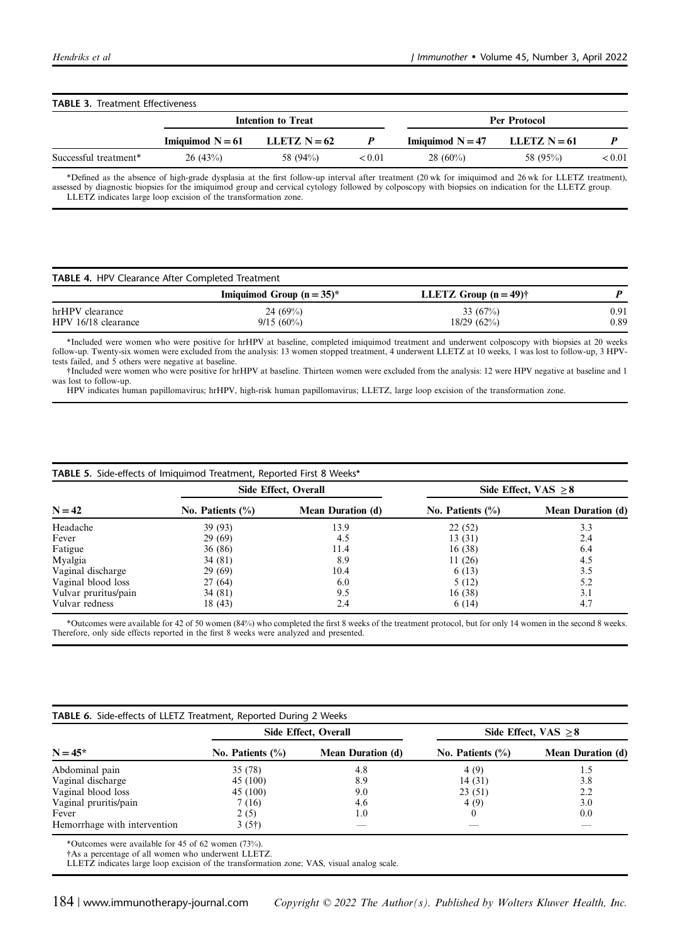## TABLE 3. Treatment Effectiveness Intention to Treat Per Protocol Imiquimod  $N = 61$  LLETZ  $N = 62$  P Imiquimod  $N = 47$  LLETZ  $N = 61$  P Successful treatment\* 26 (43%) 58 (94%)  $(94\%)$   $(0.01 \ 28 \ (60\%)$  58 (95%)  $(95\%)$

\*Defined as the absence of high-grade dysplasia at the first follow-up interval after treatment (20 wk for imiquimod and 26 wk for LLETZ treatment), assessed by diagnostic biopsies for the imiquimod group and cervical cytology followed by colposcopy with biopsies on indication for the LLETZ group. LLETZ indicates large loop excision of the transformation zone.

| <b>TABLE 4. HPV Clearance After Completed Treatment</b> |                            |                          |              |  |
|---------------------------------------------------------|----------------------------|--------------------------|--------------|--|
|                                                         | Imiquimod Group $(n=35)^*$ | LLETZ Group $(n = 49)$ † |              |  |
| hrHPV clearance<br>HPV 16/18 clearance                  | 24 $(69%)$<br>$9/15(60\%)$ | 33 $(67%)$<br>18/29(62%) | 0.91<br>0.89 |  |

\*Included were women who were positive for hrHPV at baseline, completed imiquimod treatment and underwent colposcopy with biopsies at 20 weeks follow-up. Twenty-six women were excluded from the analysis: 13 women stopped treatment, 4 underwent LLETZ at 10 weeks, 1 was lost to follow-up, 3 HPVtests failed, and 5 others were negative at baseline.

†Included were women who were positive for hrHPV at baseline. Thirteen women were excluded from the analysis: 12 were HPV negative at baseline and 1 was lost to follow-up.

HPV indicates human papillomavirus; hrHPV, high-risk human papillomavirus; LLETZ, large loop excision of the transformation zone.

|                      | Side Effect, Overall |                          | Side Effect, VAS $\geq 8$ |                          |
|----------------------|----------------------|--------------------------|---------------------------|--------------------------|
| $N = 42$             | No. Patients $(\%)$  | <b>Mean Duration (d)</b> | No. Patients $(\%)$       | <b>Mean Duration (d)</b> |
| Headache             | 39 (93)              | 13.9                     | 22(52)                    | 3.3                      |
| Fever                | 29(69)               | 4.5                      | 13(31)                    | 2.4                      |
| Fatigue              | 36 (86)              | 11.4                     | 16(38)                    | 6.4                      |
| Myalgia              | 34 (81)              | 8.9                      | 11(26)                    | 4.5                      |
| Vaginal discharge    | 29(69)               | 10.4                     | 6(13)                     | 3.5                      |
| Vaginal blood loss   | 27(64)               | 6.0                      | 5(12)                     | 5.2                      |
| Vulvar pruritus/pain | 34 (81)              | 9.5                      | 16(38)                    | 3.1                      |
| Vulvar redness       | 18 (43)              | 2.4                      | 6(14)                     | 4.7                      |

TABLE 5. Side-effects of Imiquimod Treatment, Reported First 8 Weeks\*

\*Outcomes were available for 42 of 50 women (84%) who completed the first 8 weeks of the treatment protocol, but for only 14 women in the second 8 weeks. Therefore, only side effects reported in the first 8 weeks were analyzed and presented.

|                              | Side Effect, Overall |                          | Side Effect, $VAS \geq 8$ |                          |
|------------------------------|----------------------|--------------------------|---------------------------|--------------------------|
| $N = 45*$                    | No. Patients $(\%)$  | <b>Mean Duration (d)</b> | No. Patients $(\% )$      | <b>Mean Duration (d)</b> |
| Abdominal pain               | 35 (78)              | 4.8                      | 4(9)                      | 1.5                      |
| Vaginal discharge            | 45 (100)             | 8.9                      | 14 (31)                   | 3.8                      |
| Vaginal blood loss           | 45 (100)             | 9.0                      | 23(51)                    | 2.2                      |
| Vaginal pruritis/pain        | 7 (16)               | 4.6                      | 4(9)                      | 3.0                      |
| Fever                        | 2(5)                 | 1.0                      |                           | 0.0                      |
| Hemorrhage with intervention | 3(5 <sup>†</sup> )   | __                       |                           | _                        |

\*Outcomes were available for 45 of 62 women (73%).

†As a percentage of all women who underwent LLETZ.

LLETZ indicates large loop excision of the transformation zone; VAS, visual analog scale.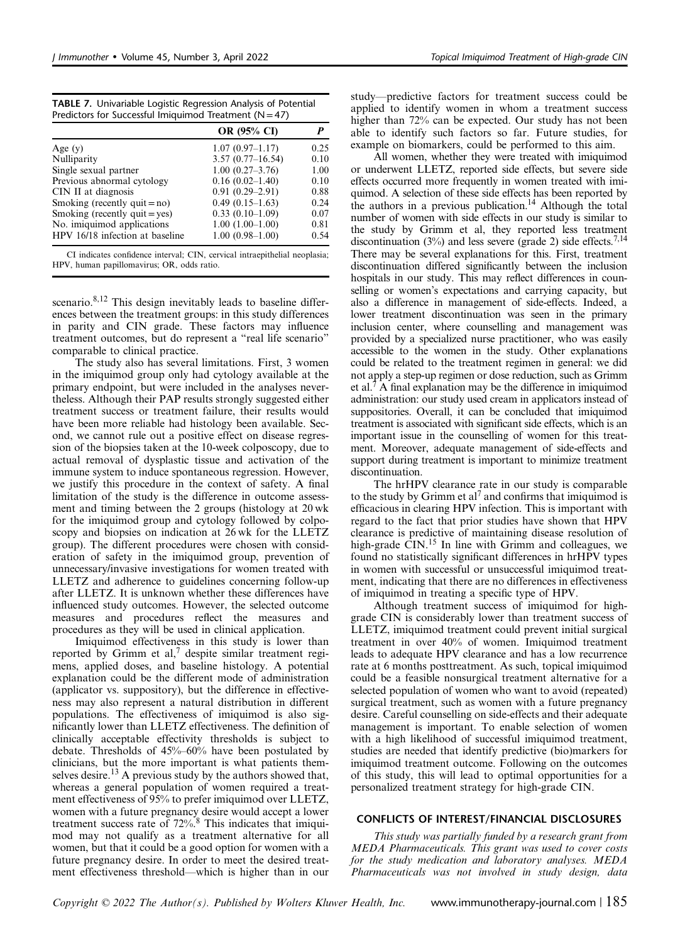| Topical Imiquimod Treatment of High-grade CIN |  |  |  |
|-----------------------------------------------|--|--|--|
|-----------------------------------------------|--|--|--|

| <b>TABLE 7.</b> Univariable Logistic Regression Analysis of Potential |
|-----------------------------------------------------------------------|
| Predictors for Successful Imiquimod Treatment ( $N = 47$ )            |

|                                  | <b>OR (95% CI)</b>  |      |
|----------------------------------|---------------------|------|
| Age $(y)$                        | $1.07(0.97-1.17)$   | 0.25 |
| Nulliparity                      | $3.57(0.77-16.54)$  | 0.10 |
| Single sexual partner            | $1.00(0.27 - 3.76)$ | 1.00 |
| Previous abnormal cytology       | $0.16(0.02-1.40)$   | 0.10 |
| CIN II at diagnosis              | $0.91(0.29 - 2.91)$ | 0.88 |
| Smoking (recently quit $=$ no)   | $0.49(0.15-1.63)$   | 0.24 |
| Smoking (recently $quit = yes$ ) | $0.33(0.10-1.09)$   | 0.07 |
| No. imiquimod applications       | $1.00(1.00-1.00)$   | 0.81 |
| HPV 16/18 infection at baseline  | $1.00(0.98-1.00)$   | 0.54 |

CI indicates confidence interval; CIN, cervical intraepithelial neoplasia; HPV, human papillomavirus; OR, odds ratio.

scenario.<sup>8,12</sup> This design inevitably leads to baseline differences between the treatment groups: in this study differences in parity and CIN grade. These factors may influence treatment outcomes, but do represent a "real life scenario" comparable to clinical practice.

The study also has several limitations. First, 3 women in the imiquimod group only had cytology available at the primary endpoint, but were included in the analyses nevertheless. Although their PAP results strongly suggested either treatment success or treatment failure, their results would have been more reliable had histology been available. Second, we cannot rule out a positive effect on disease regression of the biopsies taken at the 10-week colposcopy, due to actual removal of dysplastic tissue and activation of the immune system to induce spontaneous regression. However, we justify this procedure in the context of safety. A final limitation of the study is the difference in outcome assessment and timing between the 2 groups (histology at 20 wk for the imiquimod group and cytology followed by colposcopy and biopsies on indication at 26 wk for the LLETZ group). The different procedures were chosen with consideration of safety in the imiquimod group, prevention of unnecessary/invasive investigations for women treated with LLETZ and adherence to guidelines concerning follow-up after LLETZ. It is unknown whether these differences have influenced study outcomes. However, the selected outcome measures and procedures reflect the measures and procedures as they will be used in clinical application.

Imiquimod effectiveness in this study is lower than reported by Grimm et al, $^7$  despite similar treatment regimens, applied doses, and baseline histology. A potential explanation could be the different mode of administration (applicator vs. suppository), but the difference in effectiveness may also represent a natural distribution in different populations. The effectiveness of imiquimod is also significantly lower than LLETZ effectiveness. The definition of clinically acceptable effectivity thresholds is subject to debate. Thresholds of 45%–60% have been postulated by clinicians, but the more important is what patients themselves desire.<sup>13</sup> A previous study by the authors showed that, whereas a general population of women required a treatment effectiveness of 95% to prefer imiquimod over LLETZ, women with a future pregnancy desire would accept a lower treatment success rate of 72%.<sup>8</sup> This indicates that imiquimod may not qualify as a treatment alternative for all women, but that it could be a good option for women with a future pregnancy desire. In order to meet the desired treatment effectiveness threshold—which is higher than in our

study—predictive factors for treatment success could be applied to identify women in whom a treatment success higher than 72% can be expected. Our study has not been able to identify such factors so far. Future studies, for example on biomarkers, could be performed to this aim.

All women, whether they were treated with imiquimod or underwent LLETZ, reported side effects, but severe side effects occurred more frequently in women treated with imiquimod. A selection of these side effects has been reported by the authors in a previous publication.<sup>14</sup> Although the total number of women with side effects in our study is similar to the study by Grimm et al, they reported less treatment discontinuation (3%) and less severe (grade 2) side effects.<sup>7,14</sup> There may be several explanations for this. First, treatment discontinuation differed significantly between the inclusion hospitals in our study. This may reflect differences in counselling or women's expectations and carrying capacity, but also a difference in management of side-effects. Indeed, a lower treatment discontinuation was seen in the primary inclusion center, where counselling and management was provided by a specialized nurse practitioner, who was easily accessible to the women in the study. Other explanations could be related to the treatment regimen in general: we did not apply a step-up regimen or dose reduction, such as Grimm et al.7 A final explanation may be the difference in imiquimod administration: our study used cream in applicators instead of suppositories. Overall, it can be concluded that imiquimod treatment is associated with significant side effects, which is an important issue in the counselling of women for this treatment. Moreover, adequate management of side-effects and support during treatment is important to minimize treatment discontinuation.

The hrHPV clearance rate in our study is comparable to the study by Grimm et al<sup>7</sup> and confirms that imiquimod is efficacious in clearing HPV infection. This is important with regard to the fact that prior studies have shown that HPV clearance is predictive of maintaining disease resolution of high-grade  $\dot{C}$ IN.<sup>15</sup> In line with Grimm and colleagues, we found no statistically significant differences in hrHPV types in women with successful or unsuccessful imiquimod treatment, indicating that there are no differences in effectiveness of imiquimod in treating a specific type of HPV.

Although treatment success of imiquimod for highgrade CIN is considerably lower than treatment success of LLETZ, imiquimod treatment could prevent initial surgical treatment in over 40% of women. Imiquimod treatment leads to adequate HPV clearance and has a low recurrence rate at 6 months posttreatment. As such, topical imiquimod could be a feasible nonsurgical treatment alternative for a selected population of women who want to avoid (repeated) surgical treatment, such as women with a future pregnancy desire. Careful counselling on side-effects and their adequate management is important. To enable selection of women with a high likelihood of successful imiquimod treatment, studies are needed that identify predictive (bio)markers for imiquimod treatment outcome. Following on the outcomes of this study, this will lead to optimal opportunities for a personalized treatment strategy for high-grade CIN.

#### CONFLICTS OF INTEREST/FINANCIAL DISCLOSURES

This study was partially funded by a research grant from MEDA Pharmaceuticals. This grant was used to cover costs for the study medication and laboratory analyses. MEDA Pharmaceuticals was not involved in study design, data